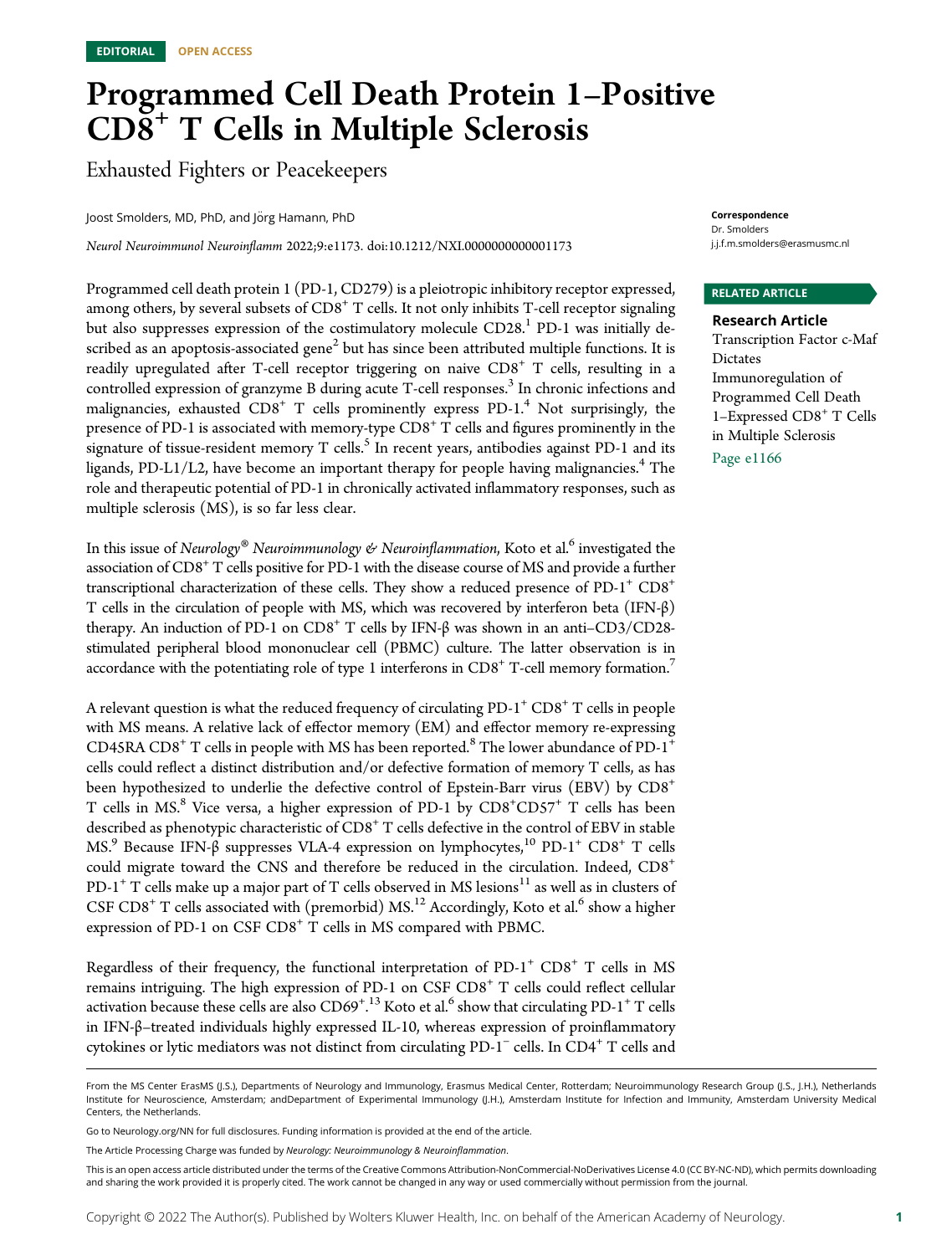# Programmed Cell Death Protein 1–Positive  $CD\$ <sup>+</sup> T Cells in Multiple Sclerosis

Exhausted Fighters or Peacekeepers

Joost Smolders, MD, PhD, and Jörg Hamann, PhD

Neurol Neuroimmunol Neuroinflamm 2022;9:e1173. doi[:10.1212/NXI.0000000000001173](http://dx.doi.org/10.1212/NXI.0000000000001173)

Programmed cell death protein 1 (PD-1, CD279) is a pleiotropic inhibitory receptor expressed, among others, by several subsets of  $CDS<sup>+</sup> T$  cells. It not only inhibits T-cell receptor signaling but also suppresses expression of the costimulatory molecule CD28.<sup>1</sup> PD-1 was initially described as an apoptosis-associated gene $<sup>2</sup>$  but has since been attributed multiple functions. It is</sup> readily upregulated after T-cell receptor triggering on naive  $CDS<sup>+</sup> T$  cells, resulting in a controlled expression of granzyme B during acute T-cell responses.<sup>3</sup> In chronic infections and malignancies, exhausted  $CD8<sup>+</sup>$  T cells prominently express PD-1.<sup>4</sup> Not surprisingly, the presence of PD-1 is associated with memory-type  $CDS^+$  T cells and figures prominently in the signature of tissue-resident memory T cells. $<sup>5</sup>$  In recent years, antibodies against PD-1 and its</sup> ligands, PD-L1/L2, have become an important therapy for people having malignancies.<sup>4</sup> The role and therapeutic potential of PD-1 in chronically activated inflammatory responses, such as multiple sclerosis (MS), is so far less clear.

In this issue of Neurology® Neuroimmunology & Neuroinflammation, Koto et al.<sup>6</sup> investigated the association of  $CD8<sup>+</sup>$  T cells positive for PD-1 with the disease course of MS and provide a further transcriptional characterization of these cells. They show a reduced presence of  $PD-1^+$   $CD8^+$ T cells in the circulation of people with MS, which was recovered by interferon beta (IFN-β) therapy. An induction of PD-1 on  $CD8^+$  T cells by IFN-β was shown in an anti– $CD3/CD28$ stimulated peripheral blood mononuclear cell (PBMC) culture. The latter observation is in accordance with the potentiating role of type 1 interferons in  $CD8<sup>+</sup>$  T-cell memory formation.<sup>7</sup>

A relevant question is what the reduced frequency of circulating PD-1<sup>+</sup> CD8<sup>+</sup> T cells in people with MS means. A relative lack of effector memory (EM) and effector memory re-expressing CD45RA  $CD8^+$  T cells in people with MS has been reported.<sup>8</sup> The lower abundance of PD-1<sup>+</sup> cells could reflect a distinct distribution and/or defective formation of memory T cells, as has been hypothesized to underlie the defective control of Epstein-Barr virus (EBV) by CD8<sup>+</sup> T cells in MS.<sup>8</sup> Vice versa, a higher expression of PD-1 by CD8<sup>+</sup>CD57<sup>+</sup> T cells has been described as phenotypic characteristic of CD8<sup>+</sup> T cells defective in the control of EBV in stable MS.<sup>9</sup> Because IFN-β suppresses VLA-4 expression on lymphocytes,<sup>10</sup> PD-1<sup>+</sup> CD8<sup>+</sup> T cells could migrate toward the CNS and therefore be reduced in the circulation. Indeed, CD8<sup>+</sup> PD-1<sup>+</sup> T cells make up a major part of T cells observed in MS lesions<sup>11</sup> as well as in clusters of CSF CD8<sup>+</sup> T cells associated with (premorbid) MS.<sup>12</sup> Accordingly, Koto et al.<sup>6</sup> show a higher expression of PD-1 on CSF CD8<sup>+</sup> T cells in MS compared with PBMC.

Regardless of their frequency, the functional interpretation of  $PD-1^+$  CD8<sup>+</sup> T cells in MS remains intriguing. The high expression of PD-1 on CSF CD8<sup>+</sup> T cells could reflect cellular activation because these cells are also  $\rm CD69^{+.13}$  Koto et al.<sup>6</sup> show that circulating PD-1<sup>+</sup> T cells . in IFN-β–treated individuals highly expressed IL-10, whereas expression of proinflammatory cytokines or lytic mediators was not distinct from circulating PD-1<sup>−</sup> cells. In CD4<sup>+</sup> T cells and

Correspondence Dr. Smolders [j.j.f.m.smolders@erasmusmc.nl](mailto:j.j.f.m.smolders@erasmusmc.nl)

### RELATED ARTICLE

Research Article Transcription Factor c-Maf Dictates Immunoregulation of Programmed Cell Death 1–Expressed CD8<sup>+</sup> T Cells in Multiple Sclerosis

Page e1166

From the MS Center ErasMS (J.S.), Departments of Neurology and Immunology, Erasmus Medical Center, Rotterdam; Neuroimmunology Research Group (J.S., J.H.), Netherlands Institute for Neuroscience, Amsterdam; andDepartment of Experimental Immunology (J.H.), Amsterdam Institute for Infection and Immunity, Amsterdam University Medical Centers, the Netherlands.

Go to [Neurology.org/NN](https://nn.neurology.org/content/9/4/e1173/tab-article-info) for full disclosures. Funding information is provided at the end of the article.

The Article Processing Charge was funded by Neurology: Neuroimmunology & Neuroinflammation.

This is an open access article distributed under the terms of the [Creative Commons Attribution-NonCommercial-NoDerivatives License 4.0 \(CC BY-NC-ND\),](http://creativecommons.org/licenses/by-nc-nd/4.0/) which permits downloading and sharing the work provided it is properly cited. The work cannot be changed in any way or used commercially without permission from the journal.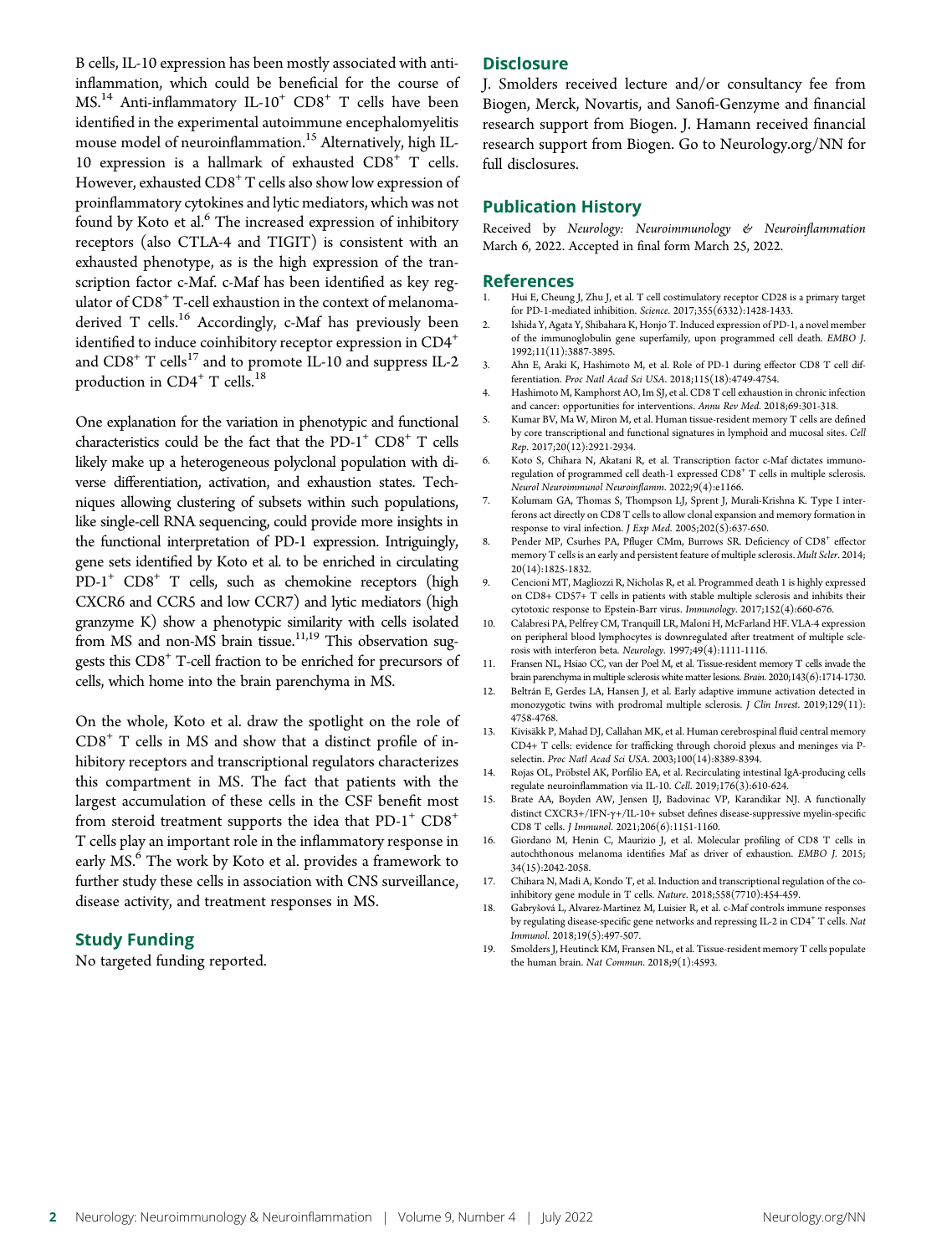B cells, IL-10 expression has been mostly associated with antiinflammation, which could be beneficial for the course of  $MS<sup>14</sup>$  Anti-inflammatory IL-10<sup>+</sup> CD8<sup>+</sup> T cells have been identified in the experimental autoimmune encephalomyelitis mouse model of neuroinflammation.<sup>15</sup> Alternatively, high IL-10 expression is a hallmark of exhausted CD8<sup>+</sup> T cells. However, exhausted  $CDS<sup>+</sup> T$  cells also show low expression of proinflammatory cytokines and lytic mediators, which was not found by Koto et al.<sup>6</sup> The increased expression of inhibitory receptors (also CTLA-4 and TIGIT) is consistent with an exhausted phenotype, as is the high expression of the transcription factor c-Maf. c-Maf has been identified as key regulator of  $CD8<sup>+</sup>$  T-cell exhaustion in the context of melanomaderived T cells.<sup>16</sup> Accordingly, c-Maf has previously been identified to induce coinhibitory receptor expression in CD4<sup>+</sup> and  $CD8<sup>+</sup>$  T cells<sup>17</sup> and to promote IL-10 and suppress IL-2 production in  $CD4^+$  T cells.<sup>18</sup>

One explanation for the variation in phenotypic and functional characteristics could be the fact that the  $PD-1^+$   $CD8^+$  T cells likely make up a heterogeneous polyclonal population with diverse differentiation, activation, and exhaustion states. Techniques allowing clustering of subsets within such populations, like single-cell RNA sequencing, could provide more insights in the functional interpretation of PD-1 expression. Intriguingly, gene sets identified by Koto et al. to be enriched in circulating  $PD-1^+$   $CD8^+$  T cells, such as chemokine receptors (high CXCR6 and CCR5 and low CCR7) and lytic mediators (high granzyme K) show a phenotypic similarity with cells isolated from MS and non-MS brain tissue.<sup>11,19</sup> This observation suggests this CD8+ T-cell fraction to be enriched for precursors of cells, which home into the brain parenchyma in MS.

On the whole, Koto et al. draw the spotlight on the role of  $CDS<sup>+</sup>$  T cells in MS and show that a distinct profile of inhibitory receptors and transcriptional regulators characterizes this compartment in MS. The fact that patients with the largest accumulation of these cells in the CSF benefit most from steroid treatment supports the idea that  $PD-1^+$   $CD8^+$ T cells play an important role in the inflammatory response in early MS.<sup>6</sup> The work by Koto et al. provides a framework to further study these cells in association with CNS surveillance, disease activity, and treatment responses in MS.

# Study Funding

No targeted funding reported.

### **Disclosure**

J. Smolders received lecture and/or consultancy fee from Biogen, Merck, Novartis, and Sanofi-Genzyme and financial research support from Biogen. J. Hamann received financial research support from Biogen. Go to [Neurology.org/NN](https://nn.neurology.org/content/9/4/e1173/tab-article-info) for full disclosures.

### Publication History

Received by Neurology: Neuroimmunology & Neuroinflammation March 6, 2022. Accepted in final form March 25, 2022.

### References

- Hui E, Cheung J, Zhu J, et al. T cell costimulatory receptor CD28 is a primary target for PD-1-mediated inhibition. Science. 2017;355(6332):1428-1433.
- 2. Ishida Y, Agata Y, Shibahara K, Honjo T. Induced expression of PD-1, a novel member of the immunoglobulin gene superfamily, upon programmed cell death. EMBO J. 1992;11(11):3887-3895.
- 3. Ahn E, Araki K, Hashimoto M, et al. Role of PD-1 during effector CD8 T cell differentiation. Proc Natl Acad Sci USA. 2018;115(18):4749-4754.
- 4. Hashimoto M, Kamphorst AO, Im SJ, et al. CD8 T cell exhaustion in chronic infection and cancer: opportunities for interventions. Annu Rev Med. 2018;69:301-318.
- 5. Kumar BV, Ma W, Miron M, et al. Human tissue-resident memory T cells are defined by core transcriptional and functional signatures in lymphoid and mucosal sites. Cell Rep. 2017;20(12):2921-2934.
- 6. Koto S, Chihara N, Akatani R, et al. Transcription factor c-Maf dictates immunoregulation of programmed cell death-1 expressed CD8<sup>+</sup> T cells in multiple sclerosis. Neurol Neuroimmunol Neuroinflamm. 2022;9(4):e1166.
- 7. Kolumam GA, Thomas S, Thompson LJ, Sprent J, Murali-Krishna K. Type I interferons act directly on CD8 T cells to allow clonal expansion and memory formation in response to viral infection. J Exp Med. 2005;202(5):637-650.
- 8. Pender MP, Csurhes PA, Pfluger CMm, Burrows SR. Deficiency of CD8<sup>+</sup> effector memory T cells is an early and persistent feature of multiple sclerosis. Mult Scler. 2014; 20(14):1825-1832.
- 9. Cencioni MT, Magliozzi R, Nicholas R, et al. Programmed death 1 is highly expressed on CD8+ CD57+ T cells in patients with stable multiple sclerosis and inhibits their cytotoxic response to Epstein-Barr virus. Immunology. 2017;152(4):660-676.
- 10. Calabresi PA, Pelfrey CM, Tranquill LR, Maloni H, McFarland HF. VLA-4 expression on peripheral blood lymphocytes is downregulated after treatment of multiple sclerosis with interferon beta. Neurology. 1997;49(4):1111-1116.
- 11. Fransen NL, Hsiao CC, van der Poel M, et al. Tissue-resident memory T cells invade the brain parenchyma in multiple sclerosis white matter lesions. Brain. 2020;143(6):1714-1730.
- 12. Beltrán E, Gerdes LA, Hansen J, et al. Early adaptive immune activation detected in monozygotic twins with prodromal multiple sclerosis. J Clin Invest. 2019;129(11): 4758-4768.
- 13. Kivisäkk P, Mahad DJ, Callahan MK, et al. Human cerebrospinal fluid central memory CD4+ T cells: evidence for trafficking through choroid plexus and meninges via Pselectin. Proc Natl Acad Sci USA. 2003;100(14):8389-8394.
- 14. Rojas OL, Pröbstel AK, Porfilio EA, et al. Recirculating intestinal IgA-producing cells regulate neuroinflammation via IL-10. Cell. 2019;176(3):610-624.
- 15. Brate AA, Boyden AW, Jensen IJ, Badovinac VP, Karandikar NJ. A functionally distinct CXCR3+/IFN-γ+/IL-10+ subset defines disease-suppressive myelin-specific CD8 T cells. J Immunol. 2021;206(6):1151-1160.
- 16. Giordano M, Henin C, Maurizio J, et al. Molecular profiling of CD8 T cells in autochthonous melanoma identifies Maf as driver of exhaustion. EMBO J. 2015; 34(15):2042-2058.
- 17. Chihara N, Madi A, Kondo T, et al. Induction and transcriptional regulation of the coinhibitory gene module in T cells. Nature. 2018;558(7710):454-459.
- 18. Gabryšová L, Alvarez-Martinez M, Luisier R, et al. c-Maf controls immune responses by regulating disease-specific gene networks and repressing IL-2 in CD4 $^{\mathrm{+}}$  T cells. Nat Immunol. 2018;19(5):497-507.
- 19. Smolders J, Heutinck KM, Fransen NL, et al. Tissue-resident memory T cells populate the human brain. Nat Commun. 2018;9(1):4593.